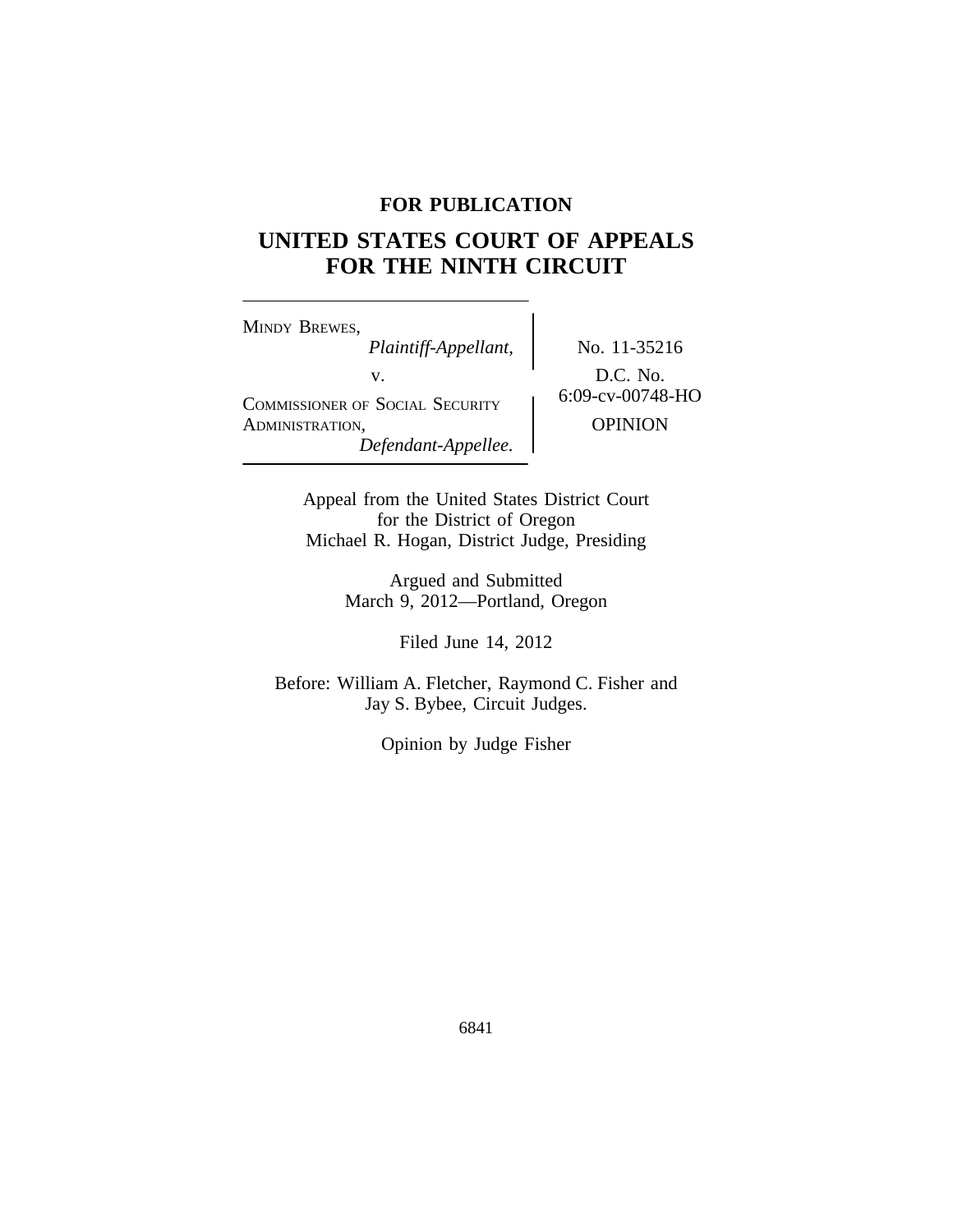# **FOR PUBLICATION**

# **UNITED STATES COURT OF APPEALS FOR THE NINTH CIRCUIT**

<sup>M</sup>INDY BREWES, *Plaintiff-Appellant,* No. 11-35216 v.<br>
COMMISSIONER OF SOCIAL SECURITY 6:09-cv-00748-HO ADMINISTRATION, OPINION *Defendant-Appellee.*

Appeal from the United States District Court for the District of Oregon Michael R. Hogan, District Judge, Presiding

> Argued and Submitted March 9, 2012—Portland, Oregon

> > Filed June 14, 2012

Before: William A. Fletcher, Raymond C. Fisher and Jay S. Bybee, Circuit Judges.

Opinion by Judge Fisher

6841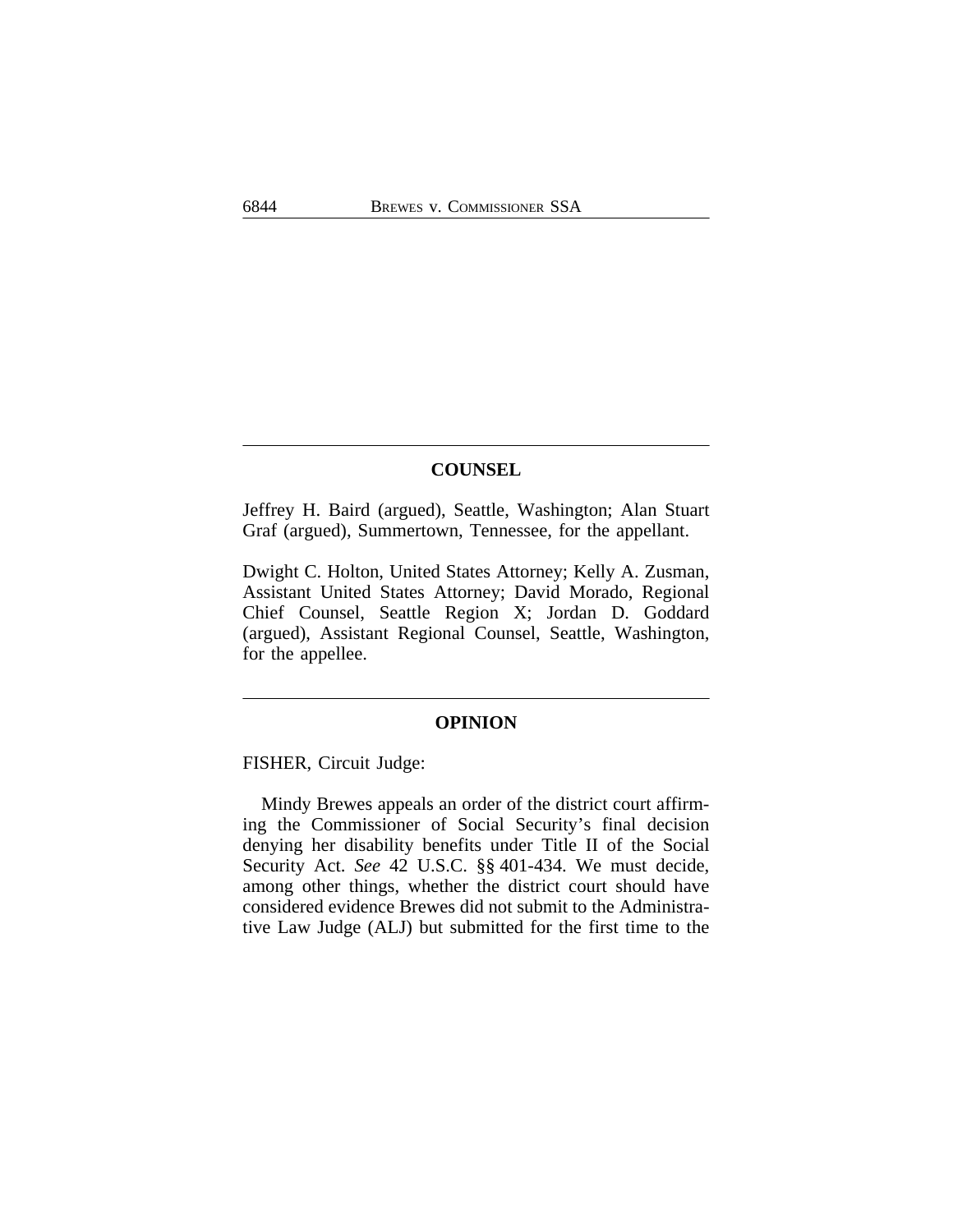# **COUNSEL**

Jeffrey H. Baird (argued), Seattle, Washington; Alan Stuart Graf (argued), Summertown, Tennessee, for the appellant.

Dwight C. Holton, United States Attorney; Kelly A. Zusman, Assistant United States Attorney; David Morado, Regional Chief Counsel, Seattle Region X; Jordan D. Goddard (argued), Assistant Regional Counsel, Seattle, Washington, for the appellee.

# **OPINION**

FISHER, Circuit Judge:

Mindy Brewes appeals an order of the district court affirming the Commissioner of Social Security's final decision denying her disability benefits under Title II of the Social Security Act. *See* 42 U.S.C. §§ 401-434. We must decide, among other things, whether the district court should have considered evidence Brewes did not submit to the Administrative Law Judge (ALJ) but submitted for the first time to the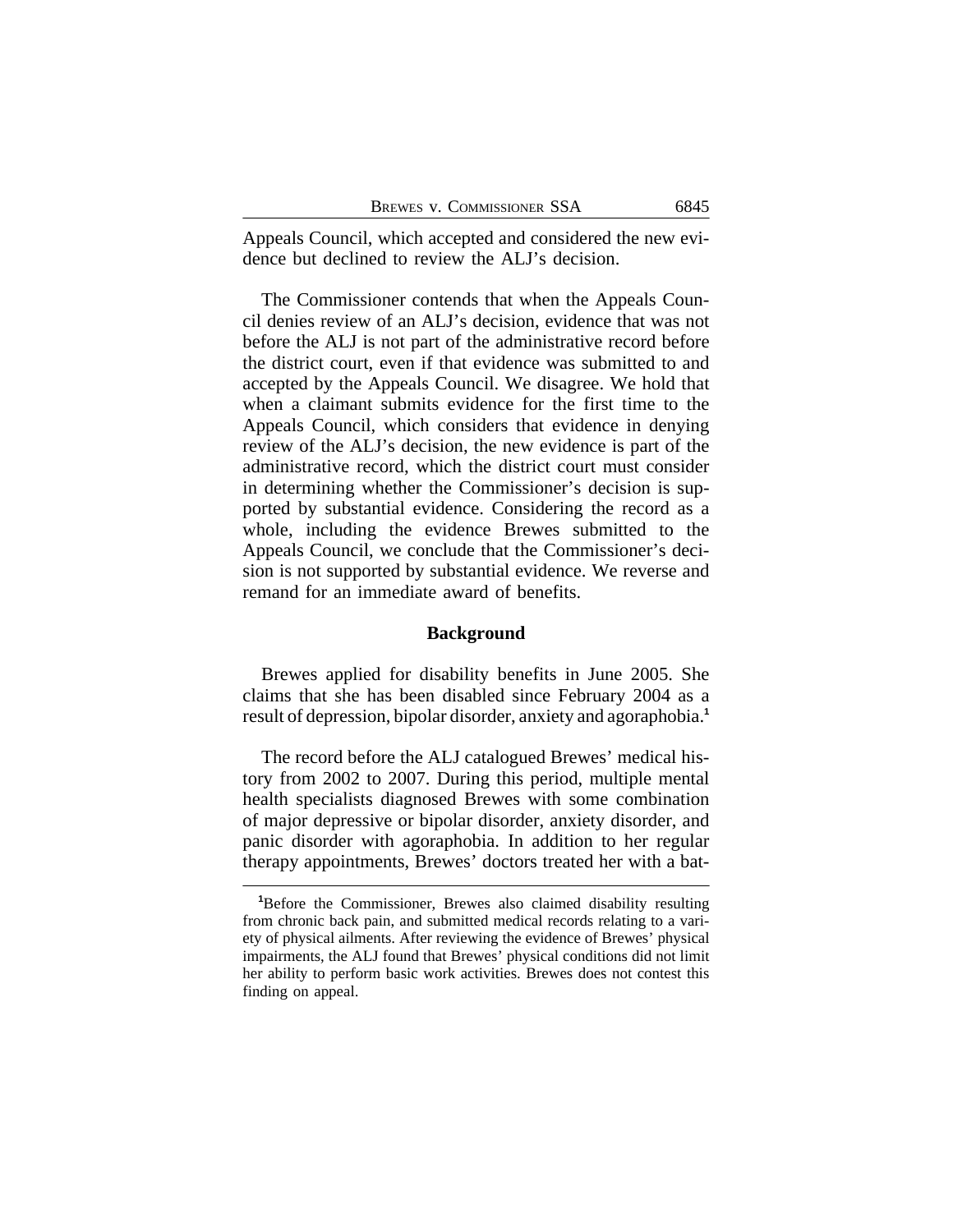Appeals Council, which accepted and considered the new evidence but declined to review the ALJ's decision.

The Commissioner contends that when the Appeals Council denies review of an ALJ's decision, evidence that was not before the ALJ is not part of the administrative record before the district court, even if that evidence was submitted to and accepted by the Appeals Council. We disagree. We hold that when a claimant submits evidence for the first time to the Appeals Council, which considers that evidence in denying review of the ALJ's decision, the new evidence is part of the administrative record, which the district court must consider in determining whether the Commissioner's decision is supported by substantial evidence. Considering the record as a whole, including the evidence Brewes submitted to the Appeals Council, we conclude that the Commissioner's decision is not supported by substantial evidence. We reverse and remand for an immediate award of benefits.

## **Background**

Brewes applied for disability benefits in June 2005. She claims that she has been disabled since February 2004 as a result of depression, bipolar disorder, anxiety and agoraphobia.**<sup>1</sup>**

The record before the ALJ catalogued Brewes' medical history from 2002 to 2007. During this period, multiple mental health specialists diagnosed Brewes with some combination of major depressive or bipolar disorder, anxiety disorder, and panic disorder with agoraphobia. In addition to her regular therapy appointments, Brewes' doctors treated her with a bat-

**<sup>1</sup>**Before the Commissioner, Brewes also claimed disability resulting from chronic back pain, and submitted medical records relating to a variety of physical ailments. After reviewing the evidence of Brewes' physical impairments, the ALJ found that Brewes' physical conditions did not limit her ability to perform basic work activities. Brewes does not contest this finding on appeal.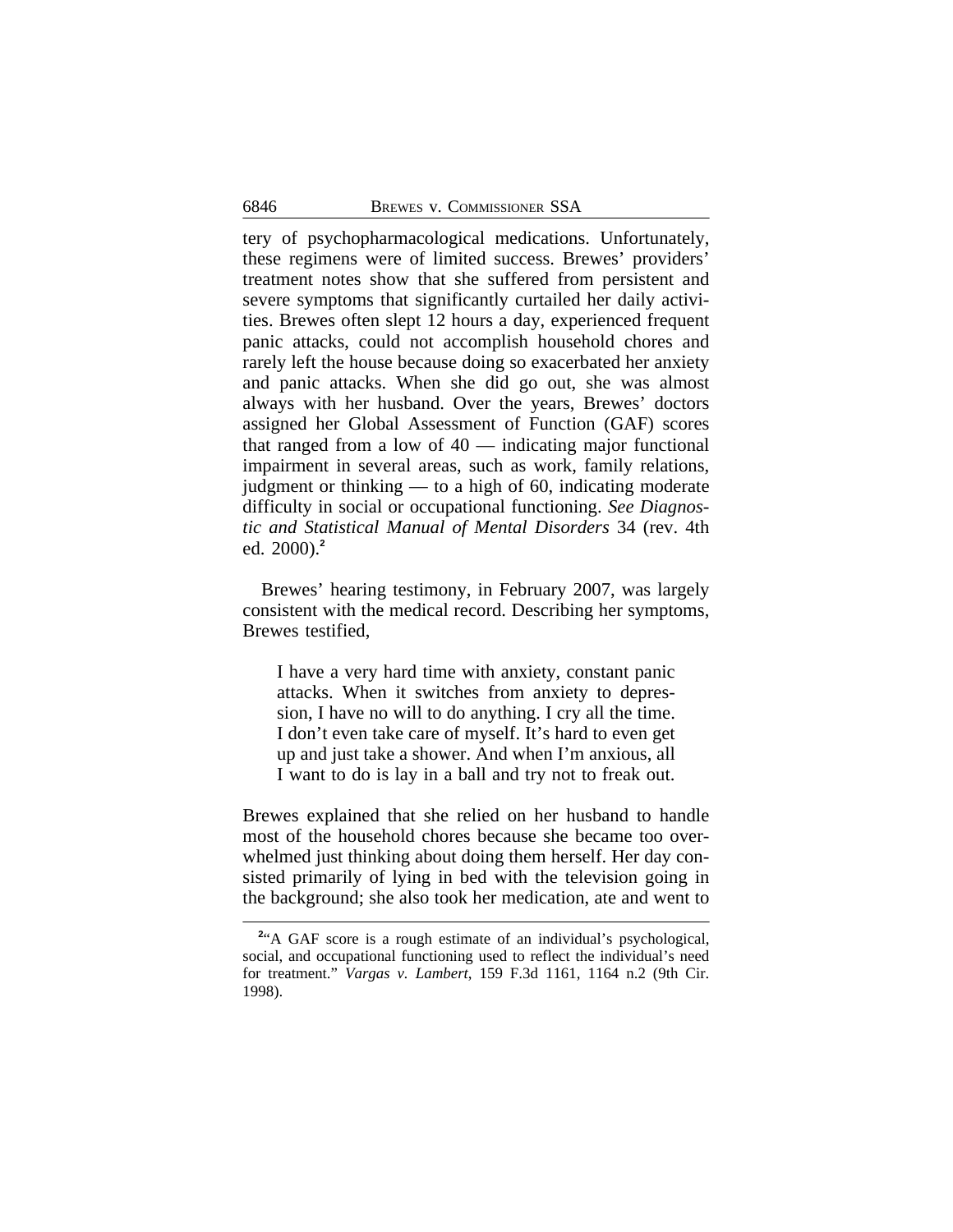tery of psychopharmacological medications. Unfortunately, these regimens were of limited success. Brewes' providers' treatment notes show that she suffered from persistent and severe symptoms that significantly curtailed her daily activities. Brewes often slept 12 hours a day, experienced frequent panic attacks, could not accomplish household chores and rarely left the house because doing so exacerbated her anxiety and panic attacks. When she did go out, she was almost always with her husband. Over the years, Brewes' doctors assigned her Global Assessment of Function (GAF) scores that ranged from a low of  $40$  — indicating major functional impairment in several areas, such as work, family relations, judgment or thinking — to a high of 60, indicating moderate difficulty in social or occupational functioning. *See Diagnostic and Statistical Manual of Mental Disorders* 34 (rev. 4th ed. 2000).**<sup>2</sup>**

Brewes' hearing testimony, in February 2007, was largely consistent with the medical record. Describing her symptoms, Brewes testified,

I have a very hard time with anxiety, constant panic attacks. When it switches from anxiety to depression, I have no will to do anything. I cry all the time. I don't even take care of myself. It's hard to even get up and just take a shower. And when I'm anxious, all I want to do is lay in a ball and try not to freak out.

Brewes explained that she relied on her husband to handle most of the household chores because she became too overwhelmed just thinking about doing them herself. Her day consisted primarily of lying in bed with the television going in the background; she also took her medication, ate and went to

<sup>&</sup>lt;sup>2</sup><sup>4</sup>A GAF score is a rough estimate of an individual's psychological, social, and occupational functioning used to reflect the individual's need for treatment." *Vargas v. Lambert*, 159 F.3d 1161, 1164 n.2 (9th Cir. 1998).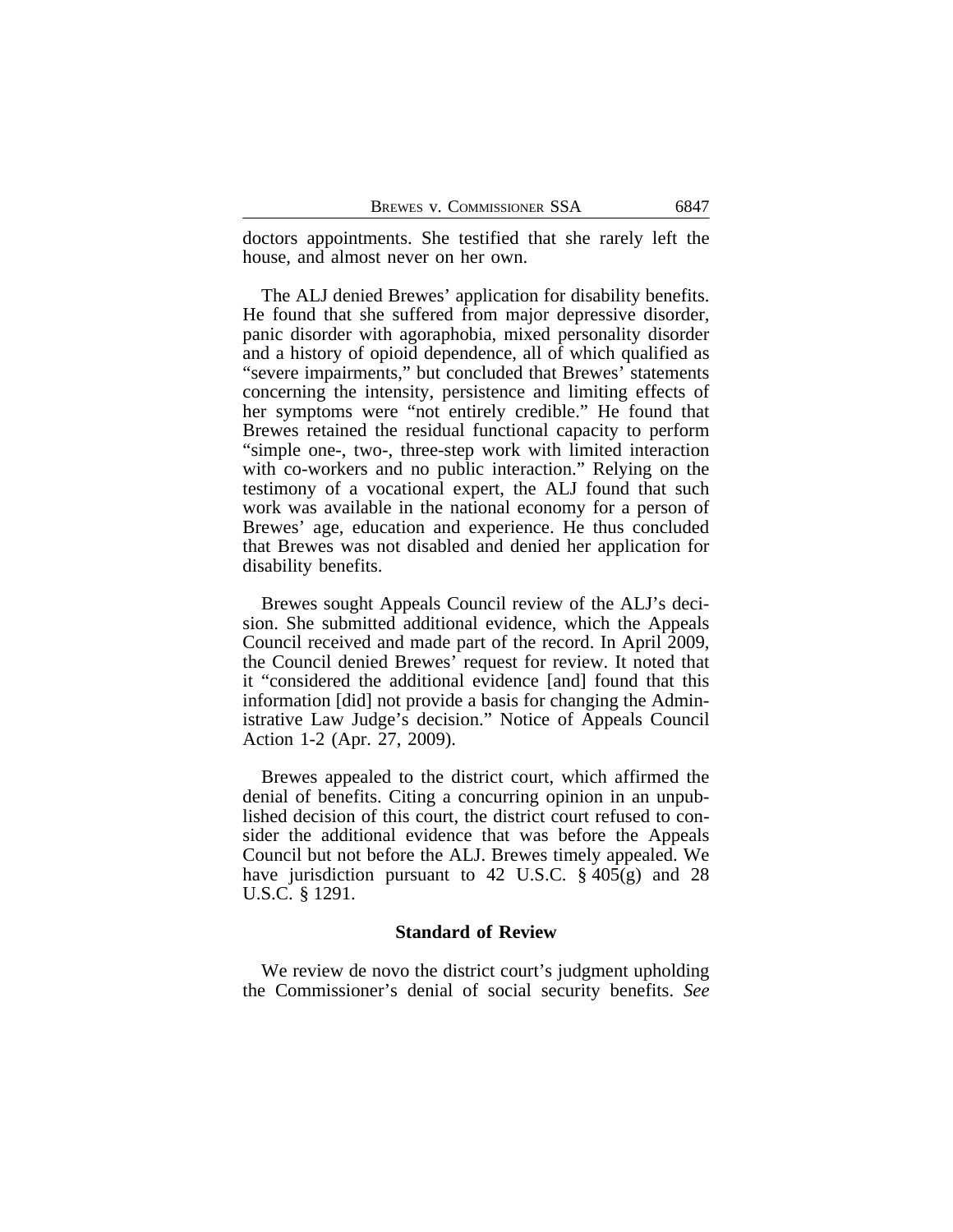doctors appointments. She testified that she rarely left the house, and almost never on her own.

The ALJ denied Brewes' application for disability benefits. He found that she suffered from major depressive disorder, panic disorder with agoraphobia, mixed personality disorder and a history of opioid dependence, all of which qualified as "severe impairments," but concluded that Brewes' statements concerning the intensity, persistence and limiting effects of her symptoms were "not entirely credible." He found that Brewes retained the residual functional capacity to perform "simple one-, two-, three-step work with limited interaction with co-workers and no public interaction." Relying on the testimony of a vocational expert, the ALJ found that such work was available in the national economy for a person of Brewes' age, education and experience. He thus concluded that Brewes was not disabled and denied her application for disability benefits.

Brewes sought Appeals Council review of the ALJ's decision. She submitted additional evidence, which the Appeals Council received and made part of the record. In April 2009, the Council denied Brewes' request for review. It noted that it "considered the additional evidence [and] found that this information [did] not provide a basis for changing the Administrative Law Judge's decision." Notice of Appeals Council Action 1-2 (Apr. 27, 2009).

Brewes appealed to the district court, which affirmed the denial of benefits. Citing a concurring opinion in an unpublished decision of this court, the district court refused to consider the additional evidence that was before the Appeals Council but not before the ALJ. Brewes timely appealed. We have jurisdiction pursuant to 42 U.S.C. § 405(g) and 28 U.S.C. § 1291.

#### **Standard of Review**

We review de novo the district court's judgment upholding the Commissioner's denial of social security benefits. *See*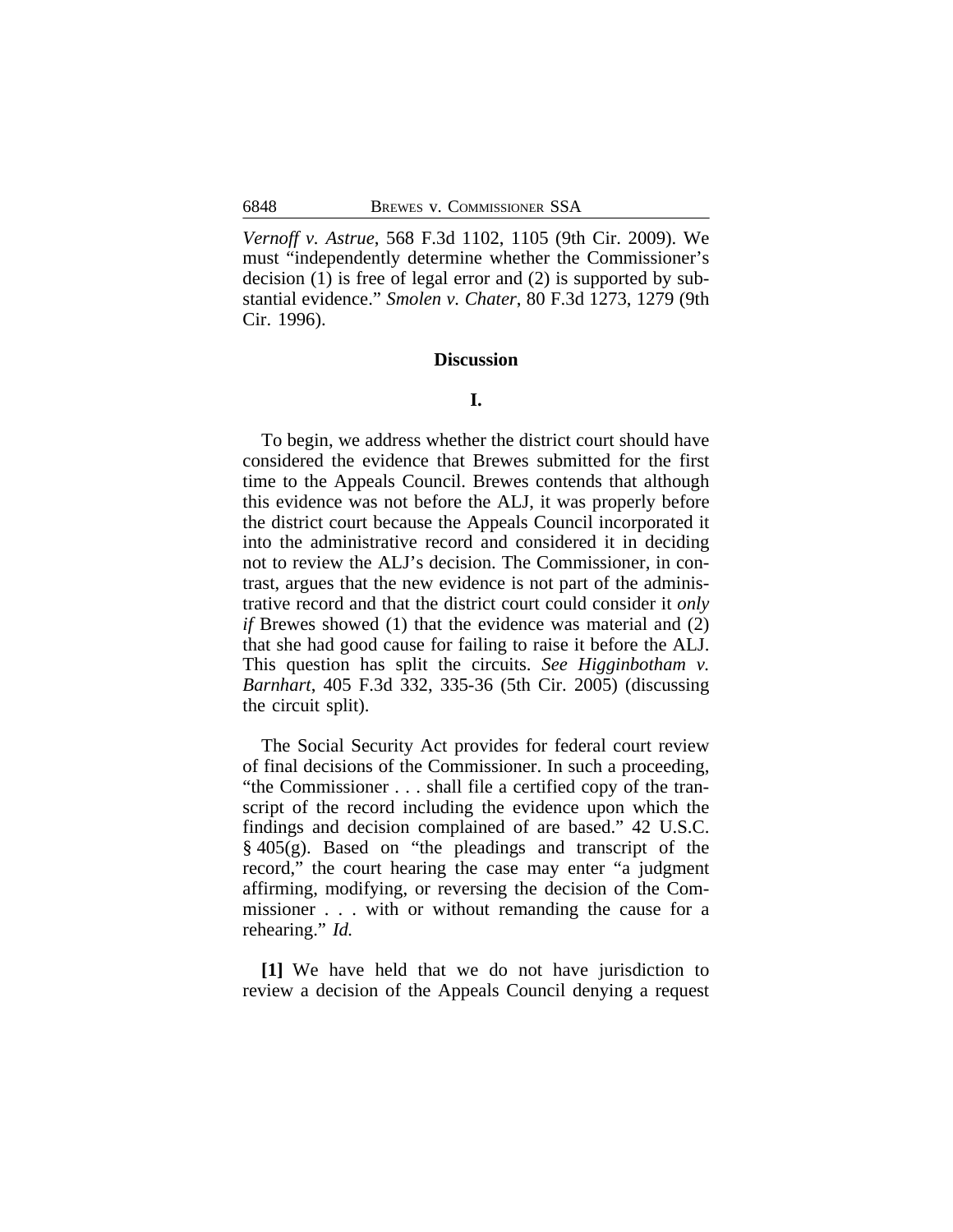*Vernoff v. Astrue*, 568 F.3d 1102, 1105 (9th Cir. 2009). We must "independently determine whether the Commissioner's decision (1) is free of legal error and (2) is supported by substantial evidence." *Smolen v. Chater*, 80 F.3d 1273, 1279 (9th Cir. 1996).

#### **Discussion**

## **I.**

To begin, we address whether the district court should have considered the evidence that Brewes submitted for the first time to the Appeals Council. Brewes contends that although this evidence was not before the ALJ, it was properly before the district court because the Appeals Council incorporated it into the administrative record and considered it in deciding not to review the ALJ's decision. The Commissioner, in contrast, argues that the new evidence is not part of the administrative record and that the district court could consider it *only if* Brewes showed (1) that the evidence was material and (2) that she had good cause for failing to raise it before the ALJ. This question has split the circuits. *See Higginbotham v. Barnhart*, 405 F.3d 332, 335-36 (5th Cir. 2005) (discussing the circuit split).

The Social Security Act provides for federal court review of final decisions of the Commissioner. In such a proceeding, "the Commissioner . . . shall file a certified copy of the transcript of the record including the evidence upon which the findings and decision complained of are based." 42 U.S.C. § 405(g). Based on "the pleadings and transcript of the record," the court hearing the case may enter "a judgment affirming, modifying, or reversing the decision of the Commissioner . . . with or without remanding the cause for a rehearing." *Id.*

**[1]** We have held that we do not have jurisdiction to review a decision of the Appeals Council denying a request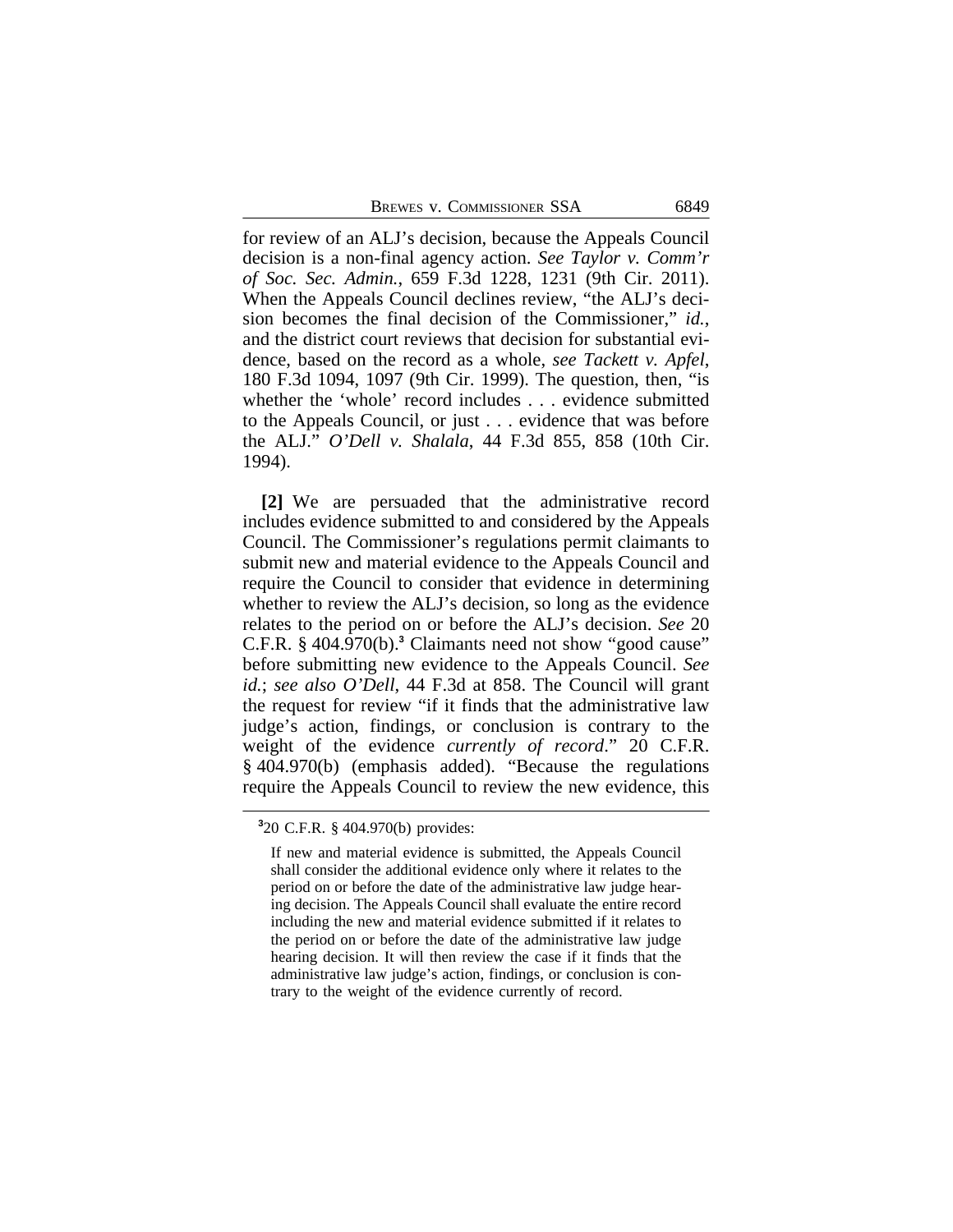BREWES V. COMMISSIONER SSA 6849

for review of an ALJ's decision, because the Appeals Council decision is a non-final agency action. *See Taylor v. Comm'r of Soc. Sec. Admin.*, 659 F.3d 1228, 1231 (9th Cir. 2011). When the Appeals Council declines review, "the ALJ's decision becomes the final decision of the Commissioner," *id.*, and the district court reviews that decision for substantial evidence, based on the record as a whole, *see Tackett v. Apfel*, 180 F.3d 1094, 1097 (9th Cir. 1999). The question, then, "is whether the 'whole' record includes . . . evidence submitted to the Appeals Council, or just . . . evidence that was before the ALJ." *O'Dell v. Shalala*, 44 F.3d 855, 858 (10th Cir. 1994).

**[2]** We are persuaded that the administrative record includes evidence submitted to and considered by the Appeals Council. The Commissioner's regulations permit claimants to submit new and material evidence to the Appeals Council and require the Council to consider that evidence in determining whether to review the ALJ's decision, so long as the evidence relates to the period on or before the ALJ's decision. *See* 20 C.F.R. § 404.970(b).<sup>3</sup> Claimants need not show "good cause" before submitting new evidence to the Appeals Council. *See id.*; *see also O'Dell*, 44 F.3d at 858. The Council will grant the request for review "if it finds that the administrative law judge's action, findings, or conclusion is contrary to the weight of the evidence *currently of record*." 20 C.F.R. § 404.970(b) (emphasis added). "Because the regulations require the Appeals Council to review the new evidence, this

**<sup>3</sup>** 20 C.F.R. § 404.970(b) provides:

If new and material evidence is submitted, the Appeals Council shall consider the additional evidence only where it relates to the period on or before the date of the administrative law judge hearing decision. The Appeals Council shall evaluate the entire record including the new and material evidence submitted if it relates to the period on or before the date of the administrative law judge hearing decision. It will then review the case if it finds that the administrative law judge's action, findings, or conclusion is contrary to the weight of the evidence currently of record.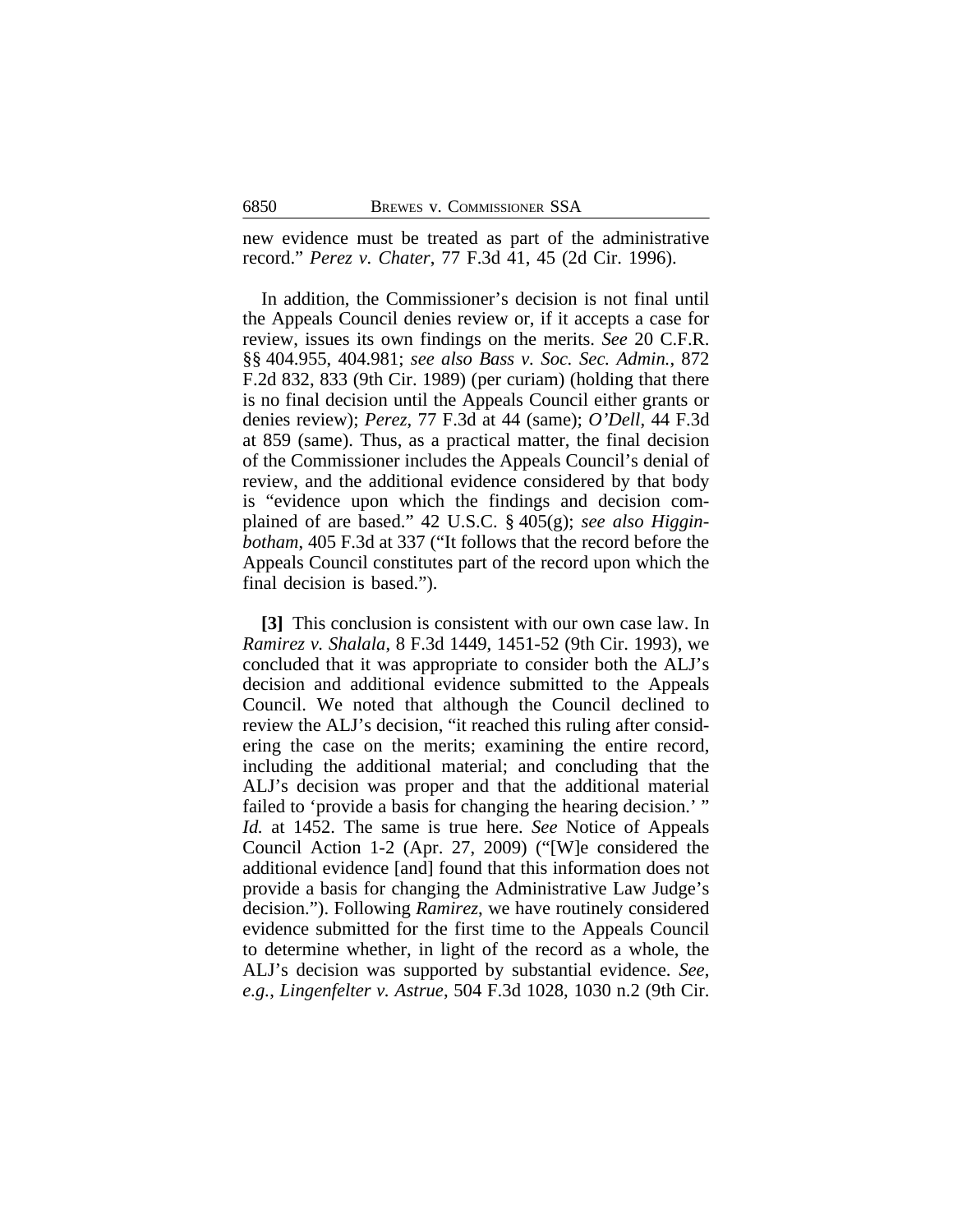new evidence must be treated as part of the administrative record." *Perez v. Chater*, 77 F.3d 41, 45 (2d Cir. 1996).

In addition, the Commissioner's decision is not final until the Appeals Council denies review or, if it accepts a case for review, issues its own findings on the merits. *See* 20 C.F.R. §§ 404.955, 404.981; *see also Bass v. Soc. Sec. Admin.*, 872 F.2d 832, 833 (9th Cir. 1989) (per curiam) (holding that there is no final decision until the Appeals Council either grants or denies review); *Perez*, 77 F.3d at 44 (same); *O'Dell*, 44 F.3d at 859 (same). Thus, as a practical matter, the final decision of the Commissioner includes the Appeals Council's denial of review, and the additional evidence considered by that body is "evidence upon which the findings and decision complained of are based." 42 U.S.C. § 405(g); *see also Higginbotham*, 405 F.3d at 337 ("It follows that the record before the Appeals Council constitutes part of the record upon which the final decision is based.").

**[3]** This conclusion is consistent with our own case law. In *Ramirez v. Shalala*, 8 F.3d 1449, 1451-52 (9th Cir. 1993), we concluded that it was appropriate to consider both the ALJ's decision and additional evidence submitted to the Appeals Council. We noted that although the Council declined to review the ALJ's decision, "it reached this ruling after considering the case on the merits; examining the entire record, including the additional material; and concluding that the ALJ's decision was proper and that the additional material failed to 'provide a basis for changing the hearing decision.' " *Id.* at 1452. The same is true here. *See* Notice of Appeals Council Action 1-2 (Apr. 27, 2009) ("[W]e considered the additional evidence [and] found that this information does not provide a basis for changing the Administrative Law Judge's decision."). Following *Ramirez*, we have routinely considered evidence submitted for the first time to the Appeals Council to determine whether, in light of the record as a whole, the ALJ's decision was supported by substantial evidence. *See*, *e.g.*, *Lingenfelter v. Astrue*, 504 F.3d 1028, 1030 n.2 (9th Cir.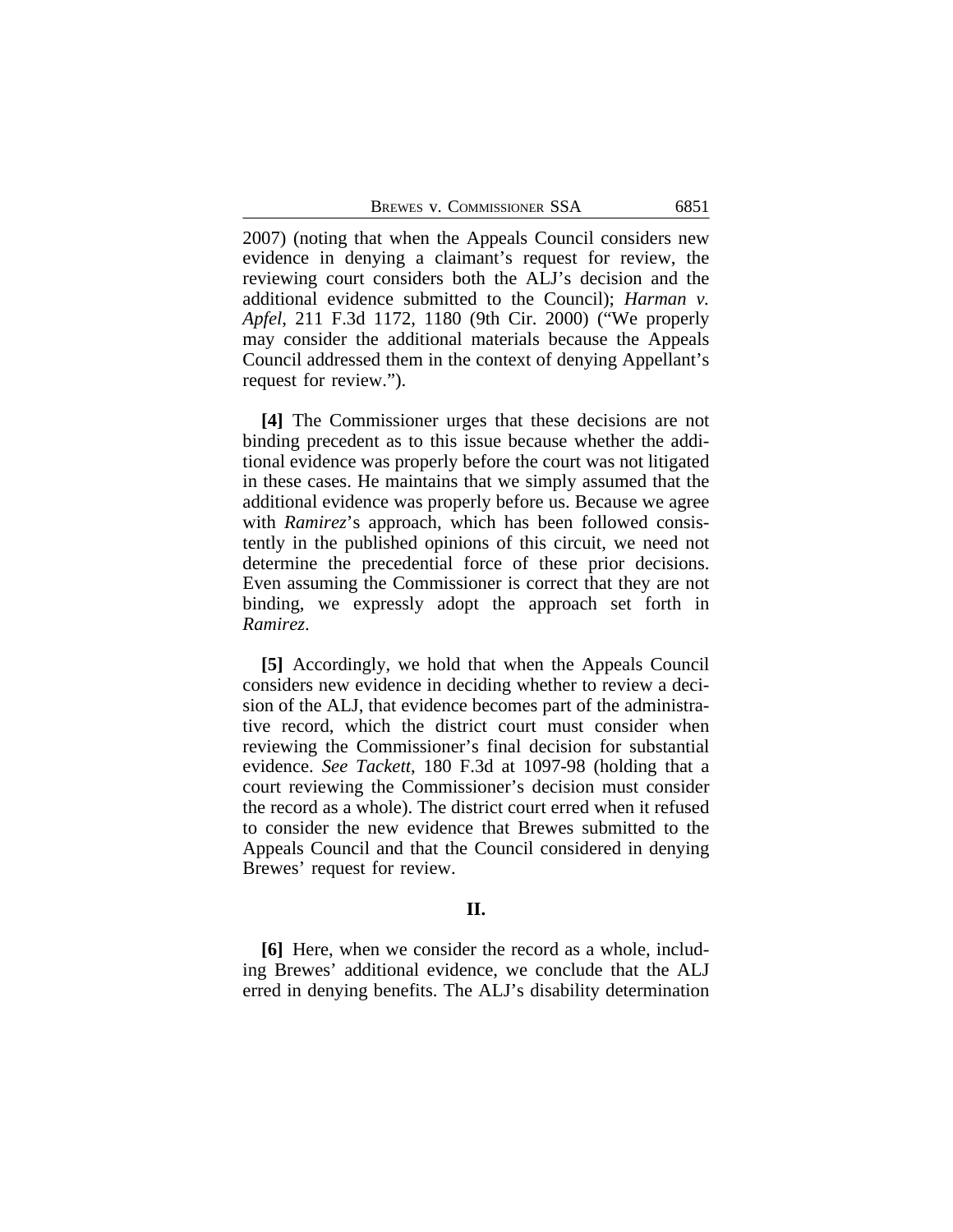2007) (noting that when the Appeals Council considers new evidence in denying a claimant's request for review, the reviewing court considers both the ALJ's decision and the additional evidence submitted to the Council); *Harman v. Apfel*, 211 F.3d 1172, 1180 (9th Cir. 2000) ("We properly may consider the additional materials because the Appeals Council addressed them in the context of denying Appellant's request for review.").

**[4]** The Commissioner urges that these decisions are not binding precedent as to this issue because whether the additional evidence was properly before the court was not litigated in these cases. He maintains that we simply assumed that the additional evidence was properly before us. Because we agree with *Ramirez*'s approach, which has been followed consistently in the published opinions of this circuit, we need not determine the precedential force of these prior decisions. Even assuming the Commissioner is correct that they are not binding, we expressly adopt the approach set forth in *Ramirez*.

**[5]** Accordingly, we hold that when the Appeals Council considers new evidence in deciding whether to review a decision of the ALJ, that evidence becomes part of the administrative record, which the district court must consider when reviewing the Commissioner's final decision for substantial evidence. *See Tackett*, 180 F.3d at 1097-98 (holding that a court reviewing the Commissioner's decision must consider the record as a whole). The district court erred when it refused to consider the new evidence that Brewes submitted to the Appeals Council and that the Council considered in denying Brewes' request for review.

### **II.**

**[6]** Here, when we consider the record as a whole, including Brewes' additional evidence, we conclude that the ALJ erred in denying benefits. The ALJ's disability determination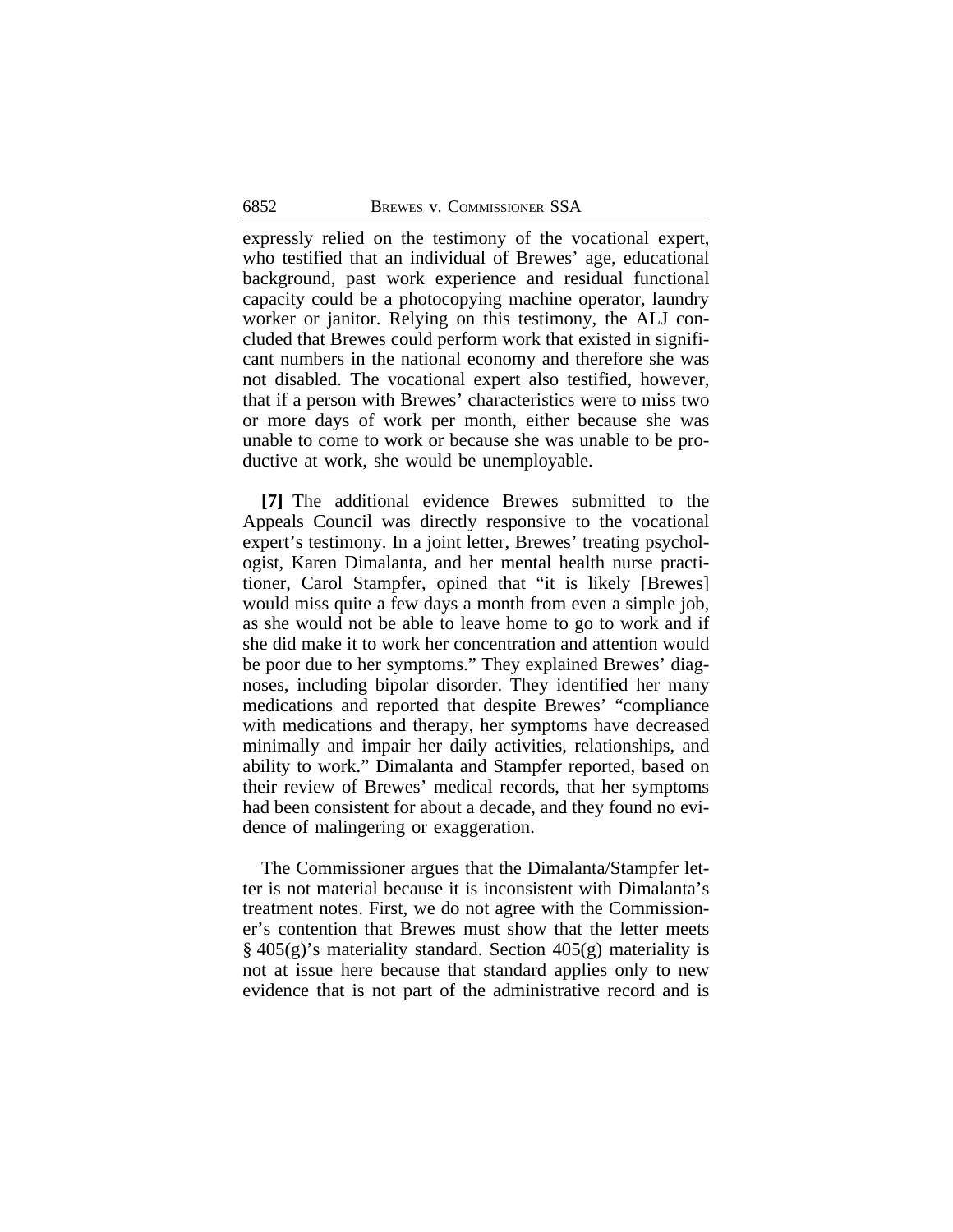expressly relied on the testimony of the vocational expert, who testified that an individual of Brewes' age, educational background, past work experience and residual functional capacity could be a photocopying machine operator, laundry worker or janitor. Relying on this testimony, the ALJ concluded that Brewes could perform work that existed in significant numbers in the national economy and therefore she was not disabled. The vocational expert also testified, however, that if a person with Brewes' characteristics were to miss two or more days of work per month, either because she was unable to come to work or because she was unable to be productive at work, she would be unemployable.

**[7]** The additional evidence Brewes submitted to the Appeals Council was directly responsive to the vocational expert's testimony. In a joint letter, Brewes' treating psychologist, Karen Dimalanta, and her mental health nurse practitioner, Carol Stampfer, opined that "it is likely [Brewes] would miss quite a few days a month from even a simple job, as she would not be able to leave home to go to work and if she did make it to work her concentration and attention would be poor due to her symptoms." They explained Brewes' diagnoses, including bipolar disorder. They identified her many medications and reported that despite Brewes' "compliance with medications and therapy, her symptoms have decreased minimally and impair her daily activities, relationships, and ability to work." Dimalanta and Stampfer reported, based on their review of Brewes' medical records, that her symptoms had been consistent for about a decade, and they found no evidence of malingering or exaggeration.

The Commissioner argues that the Dimalanta/Stampfer letter is not material because it is inconsistent with Dimalanta's treatment notes. First, we do not agree with the Commissioner's contention that Brewes must show that the letter meets § 405(g)'s materiality standard. Section 405(g) materiality is not at issue here because that standard applies only to new evidence that is not part of the administrative record and is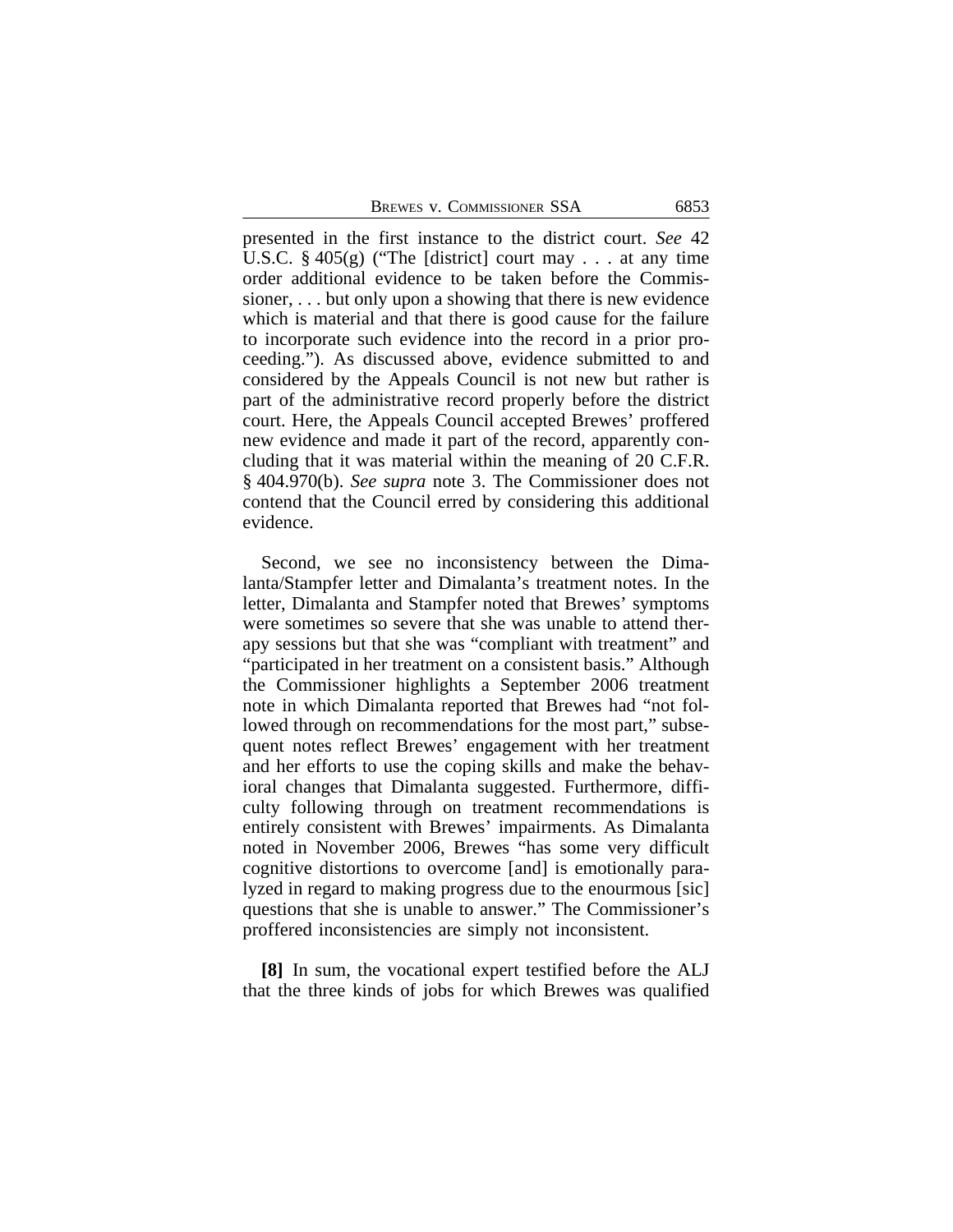presented in the first instance to the district court. *See* 42 U.S.C.  $\S 405(g)$  ("The [district] court may ... at any time order additional evidence to be taken before the Commissioner, . . . but only upon a showing that there is new evidence which is material and that there is good cause for the failure to incorporate such evidence into the record in a prior proceeding."). As discussed above, evidence submitted to and considered by the Appeals Council is not new but rather is part of the administrative record properly before the district court. Here, the Appeals Council accepted Brewes' proffered new evidence and made it part of the record, apparently concluding that it was material within the meaning of 20 C.F.R. § 404.970(b). *See supra* note 3. The Commissioner does not contend that the Council erred by considering this additional evidence.

Second, we see no inconsistency between the Dimalanta/Stampfer letter and Dimalanta's treatment notes. In the letter, Dimalanta and Stampfer noted that Brewes' symptoms were sometimes so severe that she was unable to attend therapy sessions but that she was "compliant with treatment" and "participated in her treatment on a consistent basis." Although the Commissioner highlights a September 2006 treatment note in which Dimalanta reported that Brewes had "not followed through on recommendations for the most part," subsequent notes reflect Brewes' engagement with her treatment and her efforts to use the coping skills and make the behavioral changes that Dimalanta suggested. Furthermore, difficulty following through on treatment recommendations is entirely consistent with Brewes' impairments. As Dimalanta noted in November 2006, Brewes "has some very difficult cognitive distortions to overcome [and] is emotionally paralyzed in regard to making progress due to the enourmous [sic] questions that she is unable to answer." The Commissioner's proffered inconsistencies are simply not inconsistent.

**[8]** In sum, the vocational expert testified before the ALJ that the three kinds of jobs for which Brewes was qualified